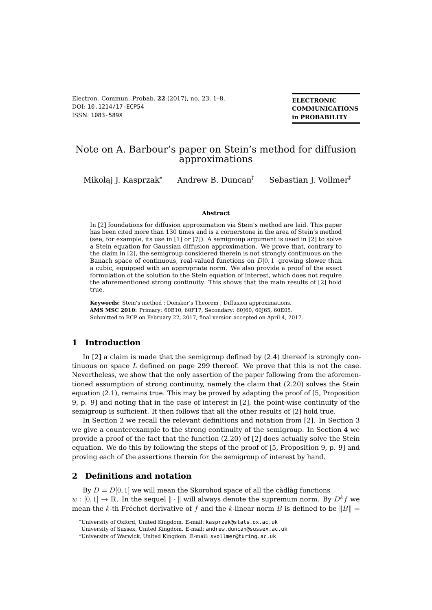Electron. Commun. Probab. **22** (2017), no. 23, 1[–8.](#page-7-0) DOI: [10.1214/17-ECP54](http://dx.doi.org/10.1214/17-ECP54) ISSN: [1083-589X](http://ecp.ejpecp.org/)

**ELECTRONIC COMMUNICATIONS in PROBABILITY**

# Note on A. Barbour's paper on Stein's method for diffusion approximations

Mikołaj J. Kasprzak\* Andrew B. Duncan<sup>†</sup> Sebastian J. Vollmer<sup>‡</sup>

#### **Abstract**

In [\[2\]](#page-7-1) foundations for diffusion approximation via Stein's method are laid. This paper has been cited more than 130 times and is a cornerstone in the area of Stein's method (see, for example, its use in [\[1\]](#page-7-2) or [\[7\]](#page-7-3)). A semigroup argument is used in [\[2\]](#page-7-1) to solve a Stein equation for Gaussian diffusion approximation. We prove that, contrary to the claim in [\[2\]](#page-7-1), the semigroup considered therein is not strongly continuous on the Banach space of continuous, real-valued functions on  $D[0,1]$  growing slower than a cubic, equipped with an appropriate norm. We also provide a proof of the exact formulation of the solution to the Stein equation of interest, which does not require the aforementioned strong continuity. This shows that the main results of [\[2\]](#page-7-1) hold true.

**Keywords:** Stein's method ; Donsker's Theorem ; Diffusion approximations. **AMS MSC 2010:** Primary: 60B10, 60F17, Secondary: 60J60, 60J65, 60E05. Submitted to ECP on February 22, 2017, final version accepted on April 4, 2017.

## **1 Introduction**

In [\[2\]](#page-7-1) a claim is made that the semigroup defined by (2.4) thereof is strongly continuous on space  $L$  defined on page 299 thereof. We prove that this is not the case. Nevertheless, we show that the only assertion of the paper following from the aforementioned assumption of strong continuity, namely the claim that (2.20) solves the Stein equation (2.1), remains true. This may be proved by adapting the proof of [\[5,](#page-7-4) Proposition 9, p. 9] and noting that in the case of interest in [\[2\]](#page-7-1), the point-wise continuity of the semigroup is sufficient. It then follows that all the other results of [\[2\]](#page-7-1) hold true.

In Section [2](#page-0-0) we recall the relevant definitions and notation from [\[2\]](#page-7-1). In Section [3](#page-1-0) we give a counterexample to the strong continuity of the semigroup. In Section [4](#page-3-0) we provide a proof of the fact that the function (2.20) of [\[2\]](#page-7-1) does actually solve the Stein equation. We do this by following the steps of the proof of [\[5,](#page-7-4) Proposition 9, p. 9] and proving each of the assertions therein for the semigroup of interest by hand.

# <span id="page-0-0"></span>**2 Definitions and notation**

By  $D = D[0, 1]$  we will mean the Skorohod space of all the càdlàg functions  $w : [0,1] \to \mathbb{R}$ . In the sequel  $\|\cdot\|$  will always denote the supremum norm. By  $D^k f$  we mean the k-th Fréchet derivative of f and the k-linear norm B is defined to be  $||B|| =$ 

<sup>\*</sup>University of Oxford, United Kingdom. E-mail: [kasprzak@stats.ox.ac.uk](mailto:kasprzak@stats.ox.ac.uk)

<sup>†</sup>University of Sussex, United Kingdom. E-mail: [andrew.duncan@sussex.ac.uk](mailto:andrew.duncan@sussex.ac.uk)

<sup>‡</sup>University of Warwick, United Kingdom. E-mail: [svollmer@turing.ac.uk](mailto:svollmer@turing.ac.uk)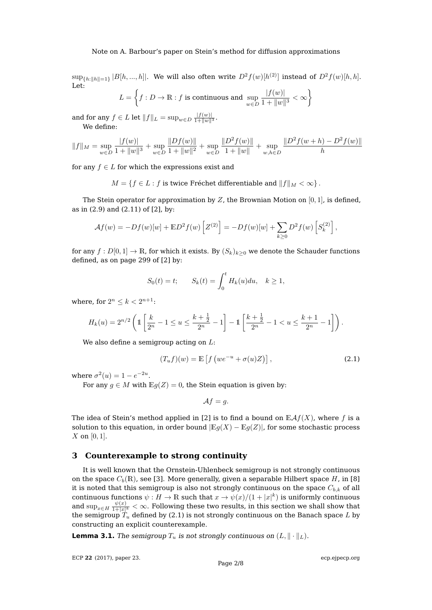$\sup_{\{h:\|h\|=1\}}|B[h,...,h]|.$  We will also often write  $D^2f(w)[h^{(2)}]$  instead of  $D^2f(w)[h,h].$ Let:

$$
L = \left\{ f : D \to \mathbb{R} : f \text{ is continuous and } \sup_{w \in D} \frac{|f(w)|}{1 + \|w\|^3} < \infty \right\}
$$

and for any  $f \in L$  let  $||f||_L = \sup_{w \in D} \frac{|f(w)|}{1 + ||w||^3}.$ We define:

$$
||f||_M = \sup_{w \in D} \frac{|f(w)|}{1 + ||w||^3} + \sup_{w \in D} \frac{||Df(w)||}{1 + ||w||^2} + \sup_{w \in D} \frac{||D^2f(w)||}{1 + ||w||} + \sup_{w,h \in D} \frac{||D^2f(w+h) - D^2f(w)||}{h}
$$

for any  $f \in L$  for which the expressions exist and

 $M = \{f \in L : f$  is twice Fréchet differentiable and  $||f||_M < \infty\}$ .

The Stein operator for approximation by  $Z$ , the Brownian Motion on  $[0, 1]$ , is defined, as in (2.9) and (2.11) of [\[2\]](#page-7-1), by:

$$
\mathcal{A}f(w) = -Df(w)[w] + \mathbb{E}D^{2}f(w)\left[Z^{(2)}\right] = -Df(w)[w] + \sum_{k \geq 0} D^{2}f(w)\left[S_{k}^{(2)}\right],
$$

for any  $f: D[0,1] \to \mathbb{R}$ , for which it exists. By  $(S_k)_{k>0}$  we denote the Schauder functions defined, as on page 299 of [\[2\]](#page-7-1) by:

$$
S_0(t) = t;
$$
  $S_k(t) = \int_0^t H_k(u) du, \quad k \ge 1,$ 

where, for  $2^n \leq k < 2^{n+1}$ :

$$
H_k(u) = 2^{n/2} \left( \mathbb{1} \left[ \frac{k}{2^n} - 1 \le u \le \frac{k + \frac{1}{2}}{2^n} - 1 \right] - \mathbb{1} \left[ \frac{k + \frac{1}{2}}{2^n} - 1 < u \le \frac{k + 1}{2^n} - 1 \right] \right).
$$

We also define a semigroup acting on  $L$ :

<span id="page-1-1"></span>
$$
(T_u f)(w) = \mathbb{E}\left[f\left(we^{-u} + \sigma(u)Z\right)\right],\tag{2.1}
$$

where  $\sigma^2(u) = 1 - e^{-2u}$ .

For any  $q \in M$  with  $\mathbb{E}q(Z) = 0$ , the Stein equation is given by:

$$
\mathcal{A}f=g.
$$

The idea of Stein's method applied in [\[2\]](#page-7-1) is to find a bound on  $\mathbb{E} \mathcal{A} f(X)$ , where f is a solution to this equation, in order bound  $|E_g(X) - E_g(Z)|$ , for some stochastic process  $X$  on [0, 1].

### <span id="page-1-0"></span>**3 Counterexample to strong continuity**

It is well known that the Ornstein-Uhlenbeck semigroup is not strongly continuous on the space  $C_b(\mathbb{R})$ , see [\[3\]](#page-7-5). More generally, given a separable Hilbert space H, in [\[8\]](#page-7-6) it is noted that this semigroup is also not strongly continuous on the space  $C_{b,k}$  of all continuous functions  $\psi : H \to \mathbb{R}$  such that  $x \to \psi(x)/(1+|x|^k)$  is uniformly continuous and  $\sup_{x \in H} \frac{\psi(x)}{1+|x|}$  $\frac{\psi(x)}{1+|x|^k}<\infty.$  Following these two results, in this section we shall show that the semigroup  $T_u$  defined by [\(2.1\)](#page-1-1) is not strongly continuous on the Banach space L by constructing an explicit counterexample.

**Lemma 3.1.** The semigroup  $T_u$  is not strongly continuous on  $(L, \|\cdot\|_L)$ .

ECP **22** [\(2017\), paper 23.](http://dx.doi.org/10.1214/17-ECP54)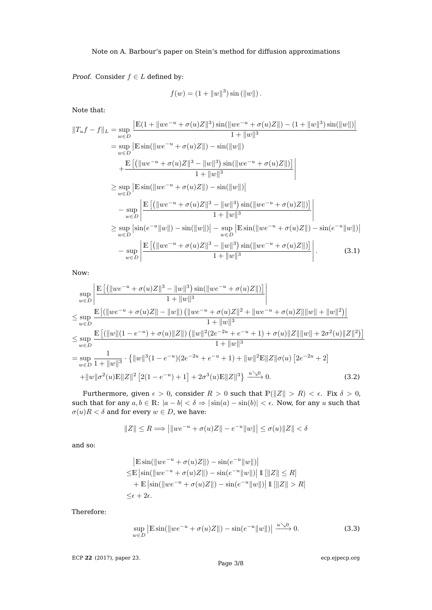*Proof.* Consider  $f \in L$  defined by:

<span id="page-2-0"></span>
$$
f(w) = (1 + ||w||3) \sin(||w||).
$$

Note that:

$$
||T_{u}f - f||_{L} = \sup_{w \in D} \frac{|\mathbb{E}(1 + ||we^{-u} + \sigma(u)Z||^{3})\sin(||we^{-u} + \sigma(u)Z||) - (1 + ||w||^{3})\sin(||w||)|}{1 + ||w||^{3}}
$$
  
\n
$$
= \sup_{w \in D} |\mathbb{E}\sin(||we^{-u} + \sigma(u)Z||) - \sin(||w||)
$$
  
\n
$$
+ \frac{\mathbb{E}[(||we^{-u} + \sigma(u)Z||^{3} - ||w||^{3})\sin(||we^{-u} + \sigma(u)Z||)]}{1 + ||w||^{3}}
$$
  
\n
$$
\geq \sup_{w \in D} |\mathbb{E}\sin(||we^{-u} + \sigma(u)Z||) - \sin(||w||)|)
$$
  
\n
$$
- \sup_{w \in D} \frac{\mathbb{E}[(||we^{-u} + \sigma(u)Z||^{3} - ||w||^{3})\sin(||we^{-u} + \sigma(u)Z||)]}{1 + ||w||^{3}}
$$
  
\n
$$
\geq \sup_{w \in D} |\sin(e^{-u}||w||) - \sin(||w||)| - \sup_{w \in D} |\mathbb{E}\sin(||we^{-u} + \sigma(u)Z||) - \sin(e^{-u}||w||)|)
$$
  
\n
$$
- \sup_{w \in D} \frac{|\mathbb{E}[(||we^{-u} + \sigma(u)Z||^{3} - ||w||^{3})\sin(||we^{-u} + \sigma(u)Z||)]}{1 + ||w||^{3}}
$$
 (3.1)

Now:

$$
\sup_{w \in D} \left| \frac{\mathbb{E}\left[ \left( \left\| w e^{-u} + \sigma(u) Z \right\|^3 - \left\| w \right\|^3 \right) \sin(\left\| w e^{-u} + \sigma(u) Z \right\|) \right]}{1 + \left\| w \right\|^3} \right|
$$
\n
$$
\leq \sup_{w \in D} \frac{\mathbb{E}\left| \left( \left\| w e^{-u} + \sigma(u) Z \right\| - \left\| w \right\| \right) \left( \left\| w e^{-u} + \sigma(u) Z \right\|^2 + \left\| w e^{-u} + \sigma(u) Z \right\| \left\| w \right\| + \left\| w \right\|^2 \right) \right|}{1 + \left\| w \right\|^3}
$$
\n
$$
\leq \sup_{w \in D} \frac{\mathbb{E}\left[ \left( \left\| w \right\| (1 - e^{-u}) + \sigma(u) \left\| Z \right\| \right) \left( \left\| w \right\|^2 (2e^{-2u} + e^{-u} + 1) + \sigma(u) \left\| Z \right\| \left\| w \right\| + 2\sigma^2(u) \left\| Z \right\|^2 \right) \right]}{1 + \left\| w \right\|^3}
$$
\n
$$
= \sup_{w \in D} \frac{1}{1 + \left\| w \right\|^3} \cdot \left\{ \left\| w \right\|^3 (1 - e^{-u}) (2e^{-2u} + e^{-u} + 1) + \left\| w \right\|^2 \mathbb{E} \| Z \right\| \sigma(u) \left[ 2e^{-2u} + 2 \right] \right\}
$$
\n
$$
+ \left\| w \right\| \sigma^2(u) \mathbb{E} \| Z \|^2 \left[ 2(1 - e^{-u}) + 1 \right] + 2\sigma^3(u) \mathbb{E} \| Z \|^3 \right\} \xrightarrow{u \searrow 0} 0. \tag{3.2}
$$

Furthermore, given  $\epsilon > 0$ , consider  $R > 0$  such that  $\mathbb{P}(\|Z\| > R) < \epsilon$ . Fix  $\delta > 0$ , such that for any  $a, b \in \mathbb{R}$ :  $|a - b| < \delta \Rightarrow |\sin(a) - \sin(b)| < \epsilon$ . Now, for any u such that  $\sigma(u)R < \delta$  and for every  $w \in D$ , we have:

<span id="page-2-1"></span>
$$
||Z|| \le R \Longrightarrow \left| ||we^{-u} + \sigma(u)Z|| - e^{-u}||w|| \right| \le \sigma(u) ||Z|| < \delta
$$

and so:

$$
|\mathbb{E}\sin(\|we^{-u} + \sigma(u)Z\|) - \sin(e^{-u}\|w\|)|
$$
  
\n
$$
\leq \mathbb{E}\left|\sin(\|we^{-u} + \sigma(u)Z\|) - \sin(e^{-u}\|w\|)\right|1[\|Z\| \leq R]
$$
  
\n
$$
+ \mathbb{E}\left|\sin(\|we^{-u} + \sigma(u)Z\|) - \sin(e^{-u}\|w\|)\right|1[\|Z\| > R]
$$
  
\n
$$
\leq \epsilon + 2\epsilon.
$$

Therefore:

<span id="page-2-2"></span>
$$
\sup_{w \in D} \left| \mathbb{E} \sin(\|w e^{-u} + \sigma(u) Z\|) - \sin(e^{-u} \|w\|) \right| \xrightarrow{u \searrow 0} 0. \tag{3.3}
$$

ECP **22** [\(2017\), paper 23.](http://dx.doi.org/10.1214/17-ECP54)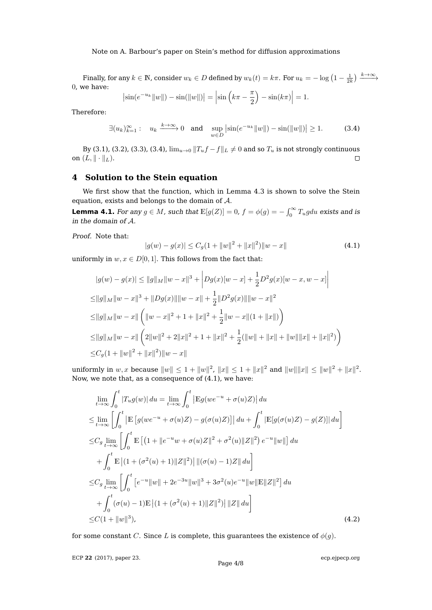Note on A. Barbour's paper on Stein's method for diffusion approximations

Finally, for any  $k \in \mathbb{N}$ , consider  $w_k \in D$  defined by  $w_k(t) = k\pi$ . For  $u_k = -\log\left(1-\frac{1}{2k}\right) \xrightarrow{k \to \infty}$ 0, we have:

<span id="page-3-1"></span>
$$
\left| \sin(e^{-u_k} \|w\|) - \sin(\|w\|) \right| = \left| \sin \left( k\pi - \frac{\pi}{2} \right) - \sin(k\pi) \right| = 1.
$$

Therefore:

$$
\exists (u_k)_{k=1}^{\infty} : u_k \xrightarrow{k \to \infty} 0 \quad \text{and} \quad \sup_{w \in D} \left| \sin(e^{-u_k} ||w||) - \sin(||w||) \right| \ge 1. \tag{3.4}
$$

By [\(3.1\)](#page-2-0), [\(3.2\)](#page-2-1), [\(3.3\)](#page-2-2), [\(3.4\)](#page-3-1),  $\lim_{u\to 0} ||T_u f - f||_L \neq 0$  and so  $T_u$  is not strongly continuous on  $(L, \|\cdot\|_L)$ .  $\Box$ 

# <span id="page-3-0"></span>**4 Solution to the Stein equation**

We first show that the function, which in Lemma [4.3](#page-4-0) is shown to solve the Stein equation, exists and belongs to the domain of  $A$ .

<span id="page-3-4"></span>**Lemma 4.1.** For any  $g \in M$ , such that  $\mathbb{E}[g(Z)] = 0$ ,  $f = \phi(g) = -\int_0^\infty T_u g du$  exists and is in the domain of A.

Proof. Note that:

<span id="page-3-2"></span>
$$
|g(w) - g(x)| \le C_g(1 + \|w\|^2 + \|x\|^2) \|w - x\|
$$
\n(4.1)

uniformly in  $w, x \in D[0, 1]$ . This follows from the fact that:

$$
|g(w) - g(x)| \le ||g||_M ||w - x||^3 + |Dg(x)[w - x] + \frac{1}{2}D^2g(x)[w - x, w - x]|
$$
  
\n
$$
\le ||g||_M ||w - x||^3 + ||Dg(x)|| ||w - x|| + \frac{1}{2}||D^2g(x)|| ||w - x||^2
$$
  
\n
$$
\le ||g||_M ||w - x|| (||w - x||^2 + 1 + ||x||^2 + \frac{1}{2}||w - x||(1 + ||x||))
$$
  
\n
$$
\le ||g||_M ||w - x|| (2||w||^2 + 2||x||^2 + 1 + ||x||^2 + \frac{1}{2}(||w|| + ||x|| + ||w|| ||x|| + ||x||^2))
$$
  
\n
$$
\le C_g(1 + ||w||^2 + ||x||^2) ||w - x||
$$

uniformly in  $w, x$  because  $||w|| \le 1 + ||w||^2$ ,  $||x|| \le 1 + ||x||^2$  and  $||w|| ||x|| \le ||w||^2 + ||x||^2$ . Now, we note that, as a consequence of [\(4.1\)](#page-3-2), we have:

$$
\lim_{t \to \infty} \int_0^t |T_u g(w)| \, du = \lim_{t \to \infty} \int_0^t |E_g(we^{-u} + \sigma(u)Z)| \, du
$$
\n
$$
\leq \lim_{t \to \infty} \left[ \int_0^t |E \left[ g(we^{-u} + \sigma(u)Z) - g(\sigma(u)Z) \right] | \, du + \int_0^t |E[g(\sigma(u)Z) - g(Z)]| \, du \right]
$$
\n
$$
\leq C_g \lim_{t \to \infty} \left[ \int_0^t E \left[ (1 + \|e^{-u}w + \sigma(u)Z\|^2 + \sigma^2(u) \|Z\|^2) e^{-u} \|w\| \right] du
$$
\n
$$
+ \int_0^t E \left| (1 + (\sigma^2(u) + 1) \|Z\|^2) \right| \|(\sigma(u) - 1)Z\| \, du \right]
$$
\n
$$
\leq C_g \lim_{t \to \infty} \left[ \int_0^t \left[ e^{-u} \|w\| + 2e^{-3u} \|w\|^3 + 3\sigma^2(u) e^{-u} \|w\| E \|Z\|^2 \right] du
$$
\n
$$
+ \int_0^t (\sigma(u) - 1) E \left| (1 + (\sigma^2(u) + 1) \|Z\|^2) \right| \|Z\| \, du \right]
$$
\n
$$
\leq C(1 + \|w\|^3), \tag{4.2}
$$

for some constant C. Since L is complete, this guarantees the existence of  $\phi(g)$ .

ECP **22** [\(2017\), paper 23.](http://dx.doi.org/10.1214/17-ECP54)

<span id="page-3-3"></span>Page  $4/8$  $4/8$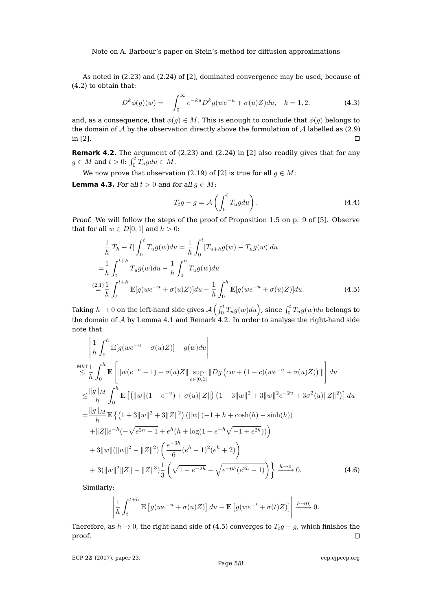Note on A. Barbour's paper on Stein's method for diffusion approximations

As noted in (2.23) and (2.24) of [\[2\]](#page-7-1), dominated convergence may be used, because of [\(4.2\)](#page-3-3) to obtain that:

<span id="page-4-3"></span>
$$
D^{k}\phi(g)(w) = -\int_{0}^{\infty} e^{-ku} D^{k}g(we^{-u} + \sigma(u)Z)du, \quad k = 1, 2.
$$
 (4.3)

and, as a consequence, that  $\phi(g) \in M$ . This is enough to conclude that  $\phi(g)$  belongs to the domain of  $A$  by the observation directly above the formulation of  $A$  labelled as (2.9) in [\[2\]](#page-7-1).  $\Box$ 

<span id="page-4-1"></span>**Remark 4.2.** The argument of (2.23) and (2.24) in [\[2\]](#page-7-1) also readily gives that for any  $g \in M$  and  $t > 0$ :  $\int_0^t T_u g du \in M$ .

We now prove that observation (2.19) of [\[2\]](#page-7-1) is true for all  $q \in M$ :

<span id="page-4-0"></span>**Lemma 4.3.** For all  $t > 0$  and for all  $g \in M$ :

<span id="page-4-4"></span><span id="page-4-2"></span>
$$
T_t g - g = \mathcal{A}\left(\int_0^t T_u g du\right). \tag{4.4}
$$

Proof. We will follow the steps of the proof of Proposition 1.5 on p. 9 of [\[5\]](#page-7-4). Observe that for all  $w \in D[0, 1]$  and  $h > 0$ :

$$
\frac{1}{h}[T_h - I] \int_0^t T_u g(w) du = \frac{1}{h} \int_0^t [T_{u+h}g(w) - T_u g(w)] du
$$
  
\n
$$
= \frac{1}{h} \int_t^{t+h} T_u g(w) du - \frac{1}{h} \int_0^h T_u g(w) du
$$
  
\n
$$
\stackrel{(2.1)}{=} \frac{1}{h} \int_t^{t+h} \mathbb{E}[g(we^{-u} + \sigma(u)Z)] du - \frac{1}{h} \int_0^h \mathbb{E}[g(we^{-u} + \sigma(u)Z)] du.
$$
 (4.5)

Taking  $h\to 0$  on the left-hand side gives  $\mathcal{A}\left(\int_0^t T_ug(w)du\right)$ , since  $\int_0^t T_ug(w)du$  belongs to the domain of  $A$  by Lemma [4.1](#page-3-4) and Remark [4.2.](#page-4-1) In order to analyse the right-hand side note that:

$$
\begin{split}\n&\left|\frac{1}{h}\int_{0}^{h}\mathbb{E}[g(we^{-u}+\sigma(u)Z)]-g(w)du\right| \\
&\leq \frac{1}{h}\int_{0}^{h}\mathbb{E}\left[\|w(e^{-u}-1)+\sigma(u)Z\|\sup_{c\in[0,1]}|Dg\left(cw+(1-c)(we^{-u}+\sigma(u)Z)\right)|\right]du \\
&\leq \frac{\|g\|_{M}}{h}\int_{0}^{h}\mathbb{E}\left[\left(\|w\|(1-e^{-u})+\sigma(u)\|Z\|\right)(1+3\|w\|^{2}+3\|w\|^{2}e^{-2u}+3\sigma^{2}(u)\|Z\|^{2})\right]du \\
&=\frac{\|g\|_{M}}{h}\mathbb{E}\left\{\left(1+3\|w\|^{2}+3\|Z\|^{2}\right)(\|w\|(-1+h+\cosh(h)-\sinh(h)) \\
&+\|Z\|e^{-h}(-\sqrt{e^{2h}-1}+e^{h}(h+\log(1+e^{-h}\sqrt{-1+e^{2h}})))\right) \\
&+3\|w\|(\|w\|^{2}-\|Z\|^{2})\left(\frac{e^{-3h}}{6}(e^{h}-1)^{2}(e^{h}+2)\right) \\
&+3(\|w\|^{2}\|Z\|-\|Z\|^{3})\frac{1}{3}\left(\sqrt{1-e^{-2h}}-\sqrt{e^{-6h}(e^{2h}-1)}\right)\right\}\xrightarrow{h\to 0} 0.\n\end{split} \tag{4.6}
$$

Similarly:

<span id="page-4-5"></span>
$$
\left| \frac{1}{h} \int_{t}^{t+h} \mathbb{E} \left[ g(we^{-u} + \sigma(u)Z) \right] du - \mathbb{E} \left[ g(we^{-t} + \sigma(t)Z) \right] \right| \xrightarrow{h \to 0} 0.
$$

Therefore, as  $h \to 0$ , the right-hand side of [\(4.5\)](#page-4-2) converges to  $T_t g - g$ , which finishes the proof.  $\Box$ 

ECP **22** [\(2017\), paper 23.](http://dx.doi.org/10.1214/17-ECP54)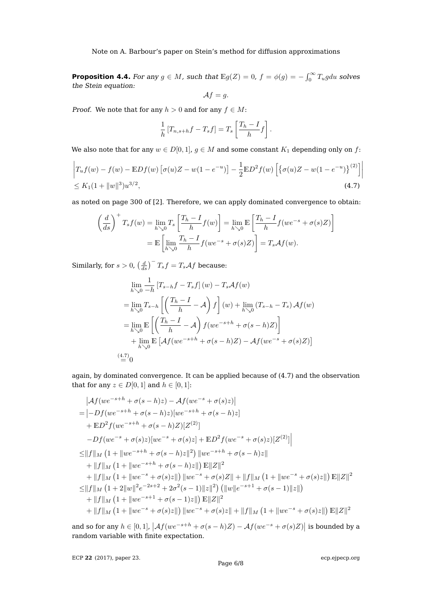Note on A. Barbour's paper on Stein's method for diffusion approximations

<span id="page-5-1"></span>**Proposition 4.4.** For any  $g \in M$ , such that  $\mathbb{E}g(Z) = 0$ ,  $f = \phi(g) = -\int_0^\infty T_u g du$  solves the Stein equation:

<span id="page-5-0"></span>
$$
\mathcal{A}f=g.
$$

*Proof.* We note that for any  $h > 0$  and for any  $f \in M$ :

$$
\frac{1}{h}[T_{n,s+h}f-T_s f] = T_s \left[ \frac{T_h - I}{h} f \right].
$$

We also note that for any  $w \in D[0,1]$ ,  $g \in M$  and some constant  $K_1$  depending only on f:

$$
\left| T_u f(w) - f(w) - \mathbb{E} Df(w) \left[ \sigma(u) Z - w(1 - e^{-u}) \right] - \frac{1}{2} \mathbb{E} D^2 f(w) \left[ \{ \sigma(u) Z - w(1 - e^{-u}) \}^{(2)} \right] \right|
$$
  
\$\leq K\_1 (1 + ||w||^3) u^{3/2}, \tag{4.7}

as noted on page 300 of [\[2\]](#page-7-1). Therefore, we can apply dominated convergence to obtain:

$$
\left(\frac{d}{ds}\right)^+ T_s f(w) = \lim_{h \searrow 0} T_s \left[ \frac{T_h - I}{h} f(w) \right] = \lim_{h \searrow 0} \mathbb{E} \left[ \frac{T_h - I}{h} f(w e^{-s} + \sigma(s) Z) \right]
$$

$$
= \mathbb{E} \left[ \lim_{h \searrow 0} \frac{T_h - I}{h} f(w e^{-s} + \sigma(s) Z) \right] = T_s \mathcal{A} f(w).
$$

Similarly, for  $s > 0$ ,  $\left(\frac{d}{ds}\right)^{-1}T_s f = T_s \mathcal{A} f$  because:

$$
\lim_{h\searrow 0} \frac{1}{-h} \left[ T_{s-h}f - T_s f \right](w) - T_s \mathcal{A}f(w)
$$
\n
$$
= \lim_{h\searrow 0} T_{s-h} \left[ \left( \frac{T_h - I}{h} - \mathcal{A} \right) f \right](w) + \lim_{h\searrow 0} \left( T_{s-h} - T_s \right) \mathcal{A}f(w)
$$
\n
$$
= \lim_{h\searrow 0} \mathbb{E} \left[ \left( \frac{T_h - I}{h} - \mathcal{A} \right) f(we^{-s+h} + \sigma(s-h)Z) \right]
$$
\n
$$
+ \lim_{h\searrow 0} \mathbb{E} \left[ \mathcal{A}f(we^{-s+h} + \sigma(s-h)Z) - \mathcal{A}f(we^{-s} + \sigma(s)Z) \right]
$$
\n(4.7)\n(4.7)\n(4.7)

again, by dominated convergence. It can be applied because of [\(4.7\)](#page-5-0) and the observation that for any  $z \in D[0, 1]$  and  $h \in [0, 1]$ :

$$
|Af(we^{-s+h} + \sigma(s-h)z) - Af(we^{-s} + \sigma(s)z)|
$$
  
= 
$$
|-Df(we^{-s+h} + \sigma(s-h)z)[we^{-s+h} + \sigma(s-h)z]
$$
  
+ 
$$
E D^2 f(we^{-s+h} + \sigma(s-h)Z)[Z^{(2)}]
$$
  
- 
$$
-Df(we^{-s} + \sigma(s)z)[we^{-s} + \sigma(s)z] + E D^2 f(we^{-s} + \sigma(s)z)[Z^{(2)}]
$$
  

$$
\leq ||f||_M (1 + ||we^{-s+h} + \sigma(s-h)z||^2) ||we^{-s+h} + \sigma(s-h)z||
$$
  
+ 
$$
||f||_M (1 + ||we^{-s+h} + \sigma(s-h)z||) E||Z||^2
$$
  
+ 
$$
||f||_M (1 + ||we^{-s} + \sigma(s)z||) ||we^{-s} + \sigma(s)Z|| + ||f||_M (1 + ||we^{-s} + \sigma(s)z||) E||Z||^2
$$
  

$$
\leq ||f||_M (1 + 2||w||^2e^{-2s+2} + 2\sigma^2(s-1)||z||^2) (||w||e^{-s+1} + \sigma(s-1)||z||)
$$
  
+ 
$$
||f||_M (1 + ||we^{-s+1} + \sigma(s-1)z||) E||Z||^2
$$
  
+ 
$$
||f||_M (1 + ||we^{-s} + \sigma(s)z||) ||we^{-s} + \sigma(s)z|| + ||f||_M (1 + ||we^{-s} + \sigma(s)z||) E||Z||^2
$$

and so for any  $h \in [0,1]$ ,  $\left| \mathcal{A}f(we^{-s+h} + \sigma(s-h)Z) - \mathcal{A}f(we^{-s} + \sigma(s)Z) \right|$  is bounded by a random variable with finite expectation.

ECP **22** [\(2017\), paper 23.](http://dx.doi.org/10.1214/17-ECP54)

Page 6[/8](#page-7-0)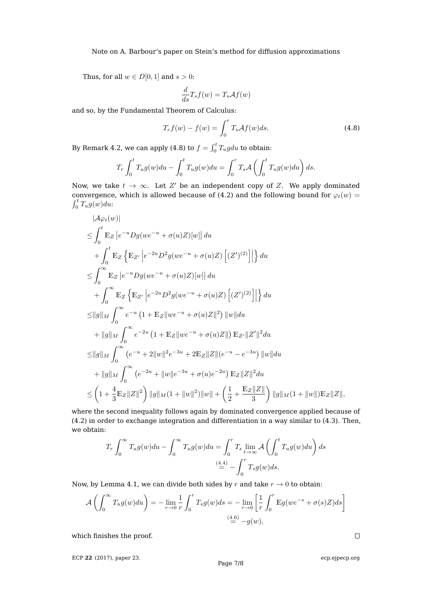Thus, for all  $w\in D[0,1]$  and  $s>0:$ 

$$
\frac{d}{ds}T_s f(w) = T_s \mathcal{A}f(w)
$$

and so, by the Fundamental Theorem of Calculus:

<span id="page-6-0"></span>
$$
T_r f(w) - f(w) = \int_0^r T_s \mathcal{A}f(w)ds.
$$
 (4.8)

By Remark [4.2,](#page-4-1) we can apply [\(4.8\)](#page-6-0) to  $f = \int_0^t T_u g du$  to obtain:

$$
T_r \int_0^t T_u g(w) du - \int_0^t T_u g(w) du = \int_0^r T_s \mathcal{A} \left( \int_0^t T_u g(w) du \right) ds.
$$

Now, we take  $t \to \infty$ . Let  $Z'$  be an independent copy of Z. We apply dominated convergence, which is allowed because of [\(4.2\)](#page-3-3) and the following bound for  $\varphi_t(w)$  =  $\int_0^t T_u g(w) du$ :

$$
|\mathcal{A}\varphi_t(w)|
$$
  
\n
$$
\leq \int_0^t \mathbb{E}_Z |e^{-u}Dg(we^{-u} + \sigma(u)Z)[w]| du
$$
  
\n
$$
+ \int_0^t \mathbb{E}_Z \left\{ \mathbb{E}_{Z'} |e^{-2u}D^2g(we^{-u} + \sigma(u)Z) [ (Z')^{(2)}] | \right\} du
$$
  
\n
$$
\leq \int_0^\infty \mathbb{E}_Z |e^{-u}Dg(we^{-u} + \sigma(u)Z)[w]| du
$$
  
\n
$$
+ \int_0^\infty \mathbb{E}_Z \left\{ \mathbb{E}_{Z'} |e^{-2u}D^2g(we^{-u} + \sigma(u)Z) [ (Z')^{(2)}] | \right\} du
$$
  
\n
$$
\leq ||g||_M \int_0^\infty e^{-u} (1 + \mathbb{E}_Z ||we^{-u} + \sigma(u)Z ||^2) ||w|| du
$$
  
\n
$$
+ ||g||_M \int_0^\infty e^{-2u} (1 + \mathbb{E}_Z ||we^{-u} + \sigma(u)Z ||) \mathbb{E}_{Z'} ||Z'||^2 du
$$
  
\n
$$
\leq ||g||_M \int_0^\infty (e^{-u} + 2||w||^2 e^{-3u} + 2 \mathbb{E}_Z ||Z|| (e^{-u} - e^{-3u}) ||w|| du
$$
  
\n
$$
+ ||g||_M \int_0^\infty (e^{-2u} + ||w||e^{-3u} + \sigma(u)e^{-2u}) \mathbb{E}_Z ||Z||^2 du
$$
  
\n
$$
\leq (1 + \frac{4}{3} \mathbb{E}_Z ||Z||^2) ||g||_M (1 + ||w||^2) ||w|| + ( \frac{1}{2} + \frac{\mathbb{E}_Z ||Z||}{3} ) ||g||_M (1 + ||w||) \mathbb{E}_Z ||Z||,
$$

where the second inequality follows again by dominated convergence applied because of [\(4.2\)](#page-3-3) in order to exchange integration and differentiation in a way similar to [\(4.3\)](#page-4-3). Then, we obtain:

$$
T_r \int_0^\infty T_u g(w) du - \int_0^\infty T_u g(w) du = \int_0^r T_s \lim_{t \to \infty} A \left( \int_0^t T_u g(w) du \right) ds
$$

$$
\stackrel{(4.4)}{=} - \int_0^r T_s g(w) ds.
$$

Now, by Lemma [4.1,](#page-3-4) we can divide both sides by r and take  $r \to 0$  to obtain:

$$
\mathcal{A}\left(\int_0^\infty T_u g(w) du\right) = -\lim_{r \to 0} \frac{1}{r} \int_0^r T_s g(w) ds = -\lim_{r \to 0} \left[ \frac{1}{r} \int_0^r \mathbb{E}g(we^{-s} + \sigma(s)Z) ds \right]
$$
  

$$
\stackrel{(4.6)}{=} -g(w),
$$

which finishes the proof.

ECP **22** [\(2017\), paper 23.](http://dx.doi.org/10.1214/17-ECP54)